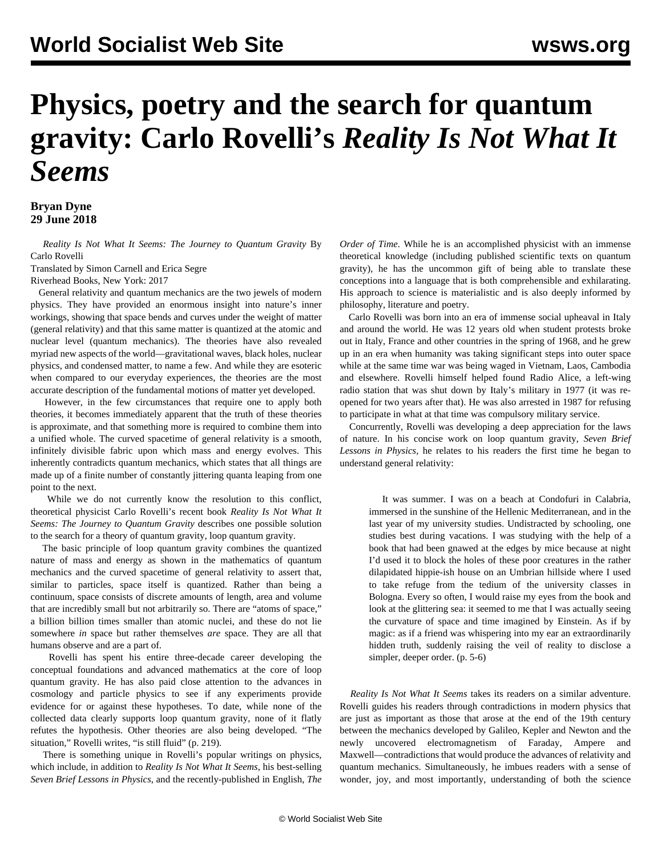## **Physics, poetry and the search for quantum gravity: Carlo Rovelli's** *Reality Is Not What It Seems*

**Bryan Dyne 29 June 2018**

 *Reality Is Not What It Seems: The Journey to Quantum Gravity* By Carlo Rovelli

Translated by Simon Carnell and Erica Segre Riverhead Books, New York: 2017

 General relativity and quantum mechanics are the two jewels of modern physics. They have provided an enormous insight into nature's inner workings, showing that space bends and curves under the weight of matter (general relativity) and that this same matter is quantized at the atomic and nuclear level (quantum mechanics). The theories have also revealed myriad new aspects of the world—gravitational waves, black holes, nuclear physics, and condensed matter, to name a few. And while they are esoteric when compared to our everyday experiences, the theories are the most accurate description of the fundamental motions of matter yet developed.

 However, in the few circumstances that require one to apply both theories, it becomes immediately apparent that the truth of these theories is approximate, and that something more is required to combine them into a unified whole. The curved spacetime of general relativity is a smooth, infinitely divisible fabric upon which mass and energy evolves. This inherently contradicts quantum mechanics, which states that all things are made up of a finite number of constantly jittering quanta leaping from one point to the next.

 While we do not currently know the resolution to this conflict, theoretical physicist Carlo Rovelli's recent book *Reality Is Not What It Seems: The Journey to Quantum Gravity* describes one possible solution to the search for a theory of quantum gravity, loop quantum gravity.

 The basic principle of loop quantum gravity combines the quantized nature of mass and energy as shown in the mathematics of quantum mechanics and the curved spacetime of general relativity to assert that, similar to particles, space itself is quantized. Rather than being a continuum, space consists of discrete amounts of length, area and volume that are incredibly small but not arbitrarily so. There are "atoms of space," a billion billion times smaller than atomic nuclei, and these do not lie somewhere *in* space but rather themselves *are* space. They are all that humans observe and are a part of.

 Rovelli has spent his entire three-decade career developing the conceptual foundations and advanced mathematics at the core of loop quantum gravity. He has also paid close attention to the advances in cosmology and particle physics to see if any experiments provide evidence for or against these hypotheses. To date, while none of the collected data clearly supports loop quantum gravity, none of it flatly refutes the hypothesis. Other theories are also being developed. "The situation," Rovelli writes, "is still fluid" (p. 219).

 There is something unique in Rovelli's popular writings on physics, which include, in addition to *Reality Is Not What It Seems*, his best-selling *Seven Brief Lessons in Physics*, and the recently-published in English, *The* *Order of Time*. While he is an accomplished physicist with an immense theoretical knowledge (including published scientific texts on quantum gravity), he has the uncommon gift of being able to translate these conceptions into a language that is both comprehensible and exhilarating. His approach to science is materialistic and is also deeply informed by philosophy, literature and poetry.

 Carlo Rovelli was born into an era of immense social upheaval in Italy and around the world. He was 12 years old when student protests broke out in Italy, France and other countries in the spring of 1968, and he grew up in an era when humanity was taking significant steps into outer space while at the same time war was being waged in Vietnam, Laos, Cambodia and elsewhere. Rovelli himself helped found Radio Alice, a left-wing radio station that was shut down by Italy's military in 1977 (it was reopened for two years after that). He was also arrested in 1987 for refusing to participate in what at that time was compulsory military service.

 Concurrently, Rovelli was developing a deep appreciation for the laws of nature. In his concise work on loop quantum gravity, *Seven Brief Lessons in Physics,* he relates to his readers the first time he began to understand general relativity:

 It was summer. I was on a beach at Condofuri in Calabria, immersed in the sunshine of the Hellenic Mediterranean, and in the last year of my university studies. Undistracted by schooling, one studies best during vacations. I was studying with the help of a book that had been gnawed at the edges by mice because at night I'd used it to block the holes of these poor creatures in the rather dilapidated hippie-ish house on an Umbrian hillside where I used to take refuge from the tedium of the university classes in Bologna. Every so often, I would raise my eyes from the book and look at the glittering sea: it seemed to me that I was actually seeing the curvature of space and time imagined by Einstein. As if by magic: as if a friend was whispering into my ear an extraordinarily hidden truth, suddenly raising the veil of reality to disclose a simpler, deeper order. (p. 5-6)

 *Reality Is Not What It Seems* takes its readers on a similar adventure. Rovelli guides his readers through contradictions in modern physics that are just as important as those that arose at the end of the 19th century between the mechanics developed by Galileo, Kepler and Newton and the newly uncovered electromagnetism of Faraday, Ampere and Maxwell—contradictions that would produce the advances of relativity and quantum mechanics. Simultaneously, he imbues readers with a sense of wonder, joy, and most importantly, understanding of both the science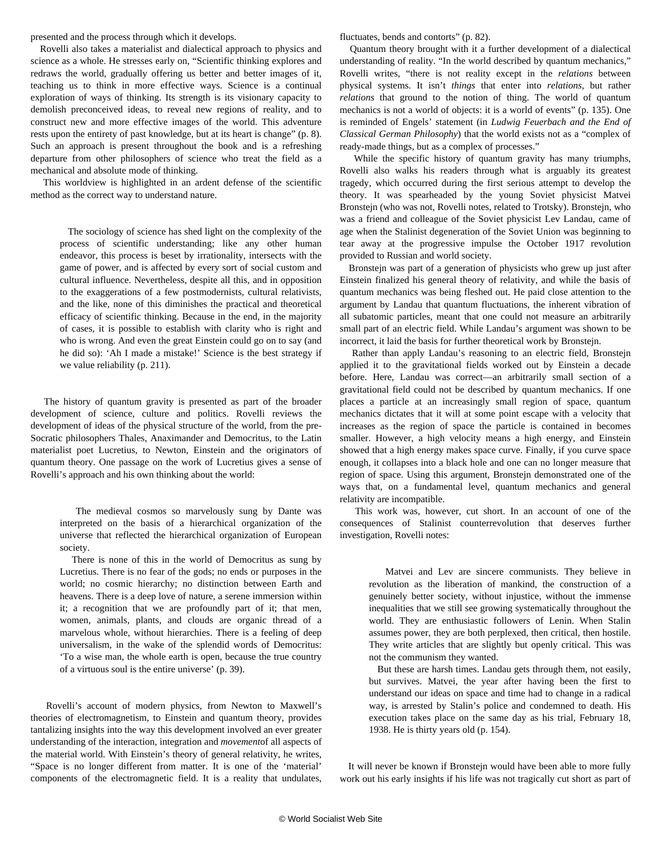presented and the process through which it develops.

 Rovelli also takes a materialist and dialectical approach to physics and science as a whole. He stresses early on, "Scientific thinking explores and redraws the world, gradually offering us better and better images of it, teaching us to think in more effective ways. Science is a continual exploration of ways of thinking. Its strength is its visionary capacity to demolish preconceived ideas, to reveal new regions of reality, and to construct new and more effective images of the world. This adventure rests upon the entirety of past knowledge, but at its heart is change" (p. 8). Such an approach is present throughout the book and is a refreshing departure from other philosophers of science who treat the field as a mechanical and absolute mode of thinking.

 This worldview is highlighted in an ardent defense of the scientific method as the correct way to understand nature.

 The sociology of science has shed light on the complexity of the process of scientific understanding; like any other human endeavor, this process is beset by irrationality, intersects with the game of power, and is affected by every sort of social custom and cultural influence. Nevertheless, despite all this, and in opposition to the exaggerations of a few postmodernists, cultural relativists, and the like, none of this diminishes the practical and theoretical efficacy of scientific thinking. Because in the end, in the majority of cases, it is possible to establish with clarity who is right and who is wrong. And even the great Einstein could go on to say (and he did so): 'Ah I made a mistake!' Science is the best strategy if we value reliability (p. 211).

 The history of quantum gravity is presented as part of the broader development of science, culture and politics. Rovelli reviews the development of ideas of the physical structure of the world, from the pre-Socratic philosophers Thales, Anaximander and Democritus, to the Latin materialist poet Lucretius, to Newton, Einstein and the originators of quantum theory. One passage on the work of Lucretius gives a sense of Rovelli's approach and his own thinking about the world:

> The medieval cosmos so marvelously sung by Dante was interpreted on the basis of a hierarchical organization of the universe that reflected the hierarchical organization of European society.

> There is none of this in the world of Democritus as sung by Lucretius. There is no fear of the gods; no ends or purposes in the world; no cosmic hierarchy; no distinction between Earth and heavens. There is a deep love of nature, a serene immersion within it; a recognition that we are profoundly part of it; that men, women, animals, plants, and clouds are organic thread of a marvelous whole, without hierarchies. There is a feeling of deep universalism, in the wake of the splendid words of Democritus: 'To a wise man, the whole earth is open, because the true country of a virtuous soul is the entire universe' (p. 39).

 Rovelli's account of modern physics, from Newton to Maxwell's theories of electromagnetism, to Einstein and quantum theory, provides tantalizing insights into the way this development involved an ever greater understanding of the interaction, integration and *movement*of all aspects of the material world. With Einstein's theory of general relativity, he writes, "Space is no longer different from matter. It is one of the 'material' components of the electromagnetic field. It is a reality that undulates, fluctuates, bends and contorts" (p. 82).

 Quantum theory brought with it a further development of a dialectical understanding of reality. "In the world described by quantum mechanics," Rovelli writes, "there is not reality except in the *relations* between physical systems. It isn't *things* that enter into *relations*, but rather *relations* that ground to the notion of thing. The world of quantum mechanics is not a world of objects: it is a world of events" (p. 135). One is reminded of Engels' statement (in *Ludwig Feuerbach and the End of Classical German Philosophy*) that the world exists not as a "complex of ready-made things, but as a complex of processes."

 While the specific history of quantum gravity has many triumphs, Rovelli also walks his readers through what is arguably its greatest tragedy, which occurred during the first serious attempt to develop the theory. It was spearheaded by the young Soviet physicist Matvei Bronstejn (who was not, Rovelli notes, related to Trotsky). Bronstejn, who was a friend and colleague of the Soviet physicist Lev Landau, came of age when the Stalinist degeneration of the Soviet Union was beginning to tear away at the progressive impulse the October 1917 revolution provided to Russian and world society.

 Bronstejn was part of a generation of physicists who grew up just after Einstein finalized his general theory of relativity, and while the basis of quantum mechanics was being fleshed out. He paid close attention to the argument by Landau that quantum fluctuations, the inherent vibration of all subatomic particles, meant that one could not measure an arbitrarily small part of an electric field. While Landau's argument was shown to be incorrect, it laid the basis for further theoretical work by Bronstejn.

 Rather than apply Landau's reasoning to an electric field, Bronstejn applied it to the gravitational fields [worked out by Einstein](/en/articles/2015/12/07/ein1-d07.html) a decade before. Here, Landau was correct—an arbitrarily small section of a gravitational field could not be described by quantum mechanics. If one places a particle at an increasingly small region of space, quantum mechanics dictates that it will at some point escape with a velocity that increases as the region of space the particle is contained in becomes smaller. However, a high velocity means a high energy, and Einstein showed that a high energy makes space curve. Finally, if you curve space enough, it collapses into a black hole and one can no longer measure that region of space. Using this argument, Bronstejn demonstrated one of the ways that, on a fundamental level, quantum mechanics and general relativity are incompatible.

 This work was, however, cut short. In an account of one of the consequences of Stalinist counterrevolution that deserves further investigation, Rovelli notes:

 Matvei and Lev are sincere communists. They believe in revolution as the liberation of mankind, the construction of a genuinely better society, without injustice, without the immense inequalities that we still see growing systematically throughout the world. They are enthusiastic followers of Lenin. When Stalin assumes power, they are both perplexed, then critical, then hostile. They write articles that are slightly but openly critical. This was not the communism they wanted.

 But these are harsh times. Landau gets through them, not easily, but survives. Matvei, the year after having been the first to understand our ideas on space and time had to change in a radical way, is arrested by Stalin's police and condemned to death. His execution takes place on the same day as his trial, February 18, 1938. He is thirty years old (p. 154).

 It will never be known if Bronstejn would have been able to more fully work out his early insights if his life was not tragically cut short as part of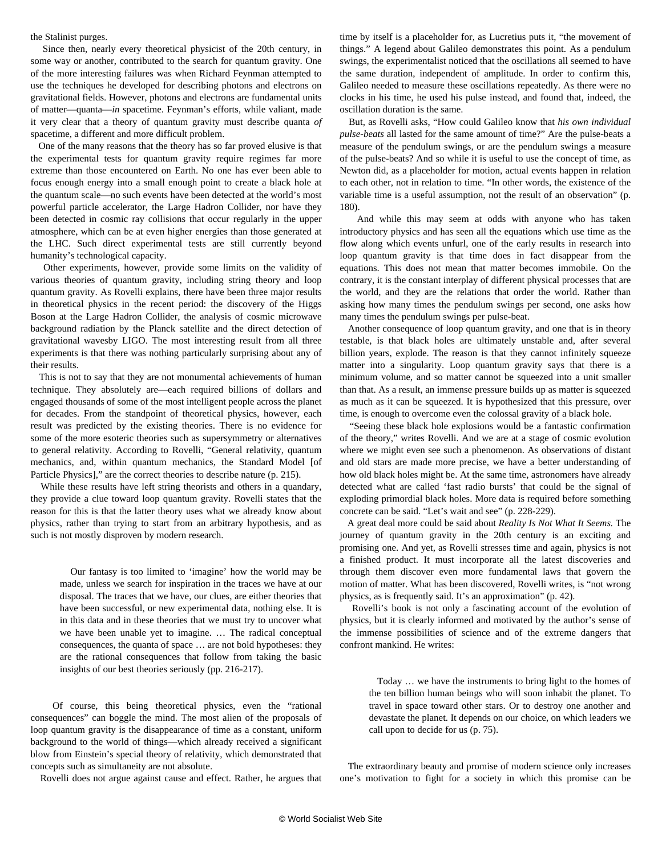## the Stalinist purges.

 Since then, nearly every theoretical physicist of the 20th century, in some way or another, contributed to the search for quantum gravity. One of the more interesting failures was when Richard Feynman attempted to use the techniques he developed for describing photons and electrons on gravitational fields. However, photons and electrons are fundamental units of matter—quanta—*in* spacetime. Feynman's efforts, while valiant, made it very clear that a theory of quantum gravity must describe quanta *of* spacetime, a different and more difficult problem.

 One of the many reasons that the theory has so far proved elusive is that the experimental tests for quantum gravity require regimes far more extreme than those encountered on Earth. No one has ever been able to focus enough energy into a small enough point to create a black hole at the quantum scale—no such events have been detected at the world's most powerful particle accelerator, the Large Hadron Collider, nor have they been detected in cosmic ray collisions that occur regularly in the upper atmosphere, which can be at even higher energies than those generated at the LHC. Such direct experimental tests are still currently beyond humanity's technological capacity.

 Other experiments, however, provide some limits on the validity of various theories of quantum gravity, including string theory and loop quantum gravity. As Rovelli explains, there have been three major results in theoretical physics in the recent period: the [discovery of the Higgs](/en/articles/2013/03/23/higg-m23.html) [Boson](/en/articles/2013/03/23/higg-m23.html) at the Large Hadron Collider, the analysis of cosmic microwave background radiation by the Planck satellite and the [direct detection of](/en/articles/2016/02/13/pers-f13.html) [gravitational waves](/en/articles/2016/02/13/pers-f13.html)by LIGO. The most interesting result from all three experiments is that there was nothing particularly surprising about any of their results.

 This is not to say that they are not monumental achievements of human technique. They absolutely are—each required billions of dollars and engaged thousands of some of the most intelligent people across the planet for decades. From the standpoint of theoretical physics, however, each result was predicted by the existing theories. There is no evidence for some of the more esoteric theories such as supersymmetry or alternatives to general relativity. According to Rovelli, "General relativity, quantum mechanics, and, within quantum mechanics, the Standard Model [of Particle Physics]," are the correct theories to describe nature (p. 215).

 While these results have left string theorists and others in a quandary, they provide a clue toward loop quantum gravity. Rovelli states that the reason for this is that the latter theory uses what we already know about physics, rather than trying to start from an arbitrary hypothesis, and as such is not mostly disproven by modern research.

 Our fantasy is too limited to 'imagine' how the world may be made, unless we search for inspiration in the traces we have at our disposal. The traces that we have, our clues, are either theories that have been successful, or new experimental data, nothing else. It is in this data and in these theories that we must try to uncover what we have been unable yet to imagine. … The radical conceptual consequences, the quanta of space … are not bold hypotheses: they are the rational consequences that follow from taking the basic insights of our best theories seriously (pp. 216-217).

 Of course, this being theoretical physics, even the "rational consequences" can boggle the mind. The most alien of the proposals of loop quantum gravity is the disappearance of time as a constant, uniform background to the world of things—which already received a significant blow from Einstein's special theory of relativity, which demonstrated that concepts such as simultaneity are not absolute.

Rovelli does not argue against cause and effect. Rather, he argues that

time by itself is a placeholder for, as Lucretius puts it, "the movement of things." A legend about Galileo demonstrates this point. As a pendulum swings, the experimentalist noticed that the oscillations all seemed to have the same duration, independent of amplitude. In order to confirm this, Galileo needed to measure these oscillations repeatedly. As there were no clocks in his time, he used his pulse instead, and found that, indeed, the oscillation duration is the same.

 But, as Rovelli asks, "How could Galileo know that *his own individual pulse-beats* all lasted for the same amount of time?" Are the pulse-beats a measure of the pendulum swings, or are the pendulum swings a measure of the pulse-beats? And so while it is useful to use the concept of time, as Newton did, as a placeholder for motion, actual events happen in relation to each other, not in relation to time. "In other words, the existence of the variable time is a useful assumption, not the result of an observation" (p. 180).

 And while this may seem at odds with anyone who has taken introductory physics and has seen all the equations which use time as the flow along which events unfurl, one of the early results in research into loop quantum gravity is that time does in fact disappear from the equations. This does not mean that matter becomes immobile. On the contrary, it is the constant interplay of different physical processes that are the world, and they are the relations that order the world. Rather than asking how many times the pendulum swings per second, one asks how many times the pendulum swings per pulse-beat.

 Another consequence of loop quantum gravity, and one that is in theory testable, is that black holes are ultimately unstable and, after several billion years, explode. The reason is that they cannot infinitely squeeze matter into a singularity. Loop quantum gravity says that there is a minimum volume, and so matter cannot be squeezed into a unit smaller than that. As a result, an immense pressure builds up as matter is squeezed as much as it can be squeezed. It is hypothesized that this pressure, over time, is enough to overcome even the colossal gravity of a black hole.

 "Seeing these black hole explosions would be a fantastic confirmation of the theory," writes Rovelli. And we are at a stage of cosmic evolution where we might even see such a phenomenon. As observations of distant and old stars are made more precise, we have a better understanding of how old black holes might be. At the same time, astronomers have already detected what are called 'fast radio bursts' that could be the signal of exploding primordial black holes. More data is required before something concrete can be said. "Let's wait and see" (p. 228-229).

 A great deal more could be said about *Reality Is Not What It Seems.* The journey of quantum gravity in the 20th century is an exciting and promising one. And yet, as Rovelli stresses time and again, physics is not a finished product. It must incorporate all the latest discoveries and through them discover even more fundamental laws that govern the motion of matter. What has been discovered, Rovelli writes, is "not wrong physics, as is frequently said. It's an approximation" (p. 42).

 Rovelli's book is not only a fascinating account of the evolution of physics, but it is clearly informed and motivated by the author's sense of the immense possibilities of science and of the extreme dangers that confront mankind. He writes:

 Today … we have the instruments to bring light to the homes of the ten billion human beings who will soon inhabit the planet. To travel in space toward other stars. Or to destroy one another and devastate the planet. It depends on our choice, on which leaders we call upon to decide for us (p. 75).

 The extraordinary beauty and promise of modern science only increases one's motivation to fight for a society in which this promise can be